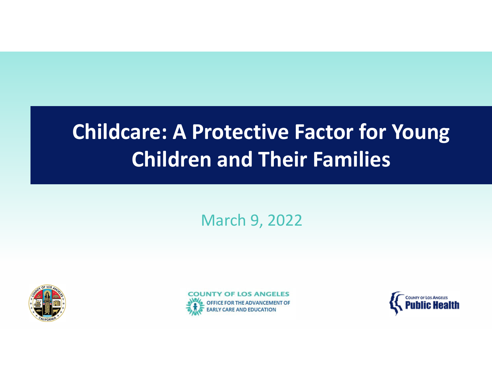# **Childcare: A Protective Factor for Young Children and Their Families**

March 9, 2022





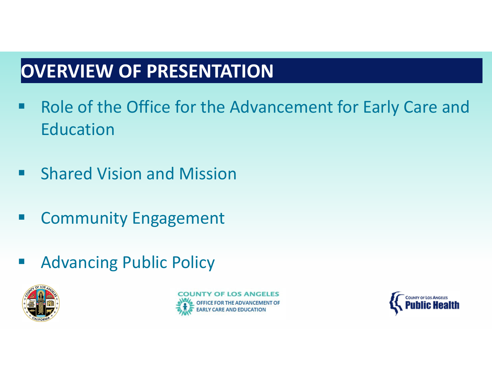## **OVERVIEW OF PRESENTATION**

- ■ Role of the Office for the Advancement for Early Care and Education
- $\blacksquare$ **E** Shared Vision and Mission
- H. Community Engagement
- Advancing Public Policy



OF LOS ANGELES

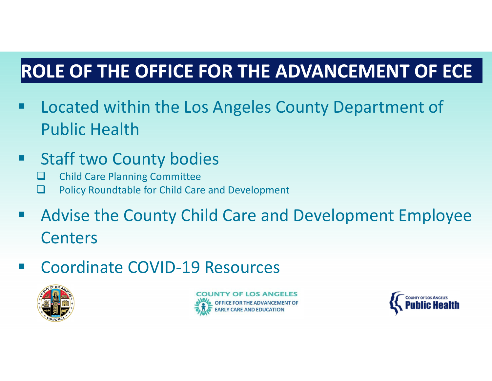## **ROLE OF THE OFFICE FOR THE ADVANCEMENT OF ECE**

- **EXTE:** Located within the Los Angeles County Department of Public Health
- **Staff two County bodies** 
	- □ Child Care Planning Committee
	- $\Box$ Policy Roundtable for Child Care and Development
- Advise the County Child Care and Development Employee Centers
- ■ Coordinate COVID-19 Resources





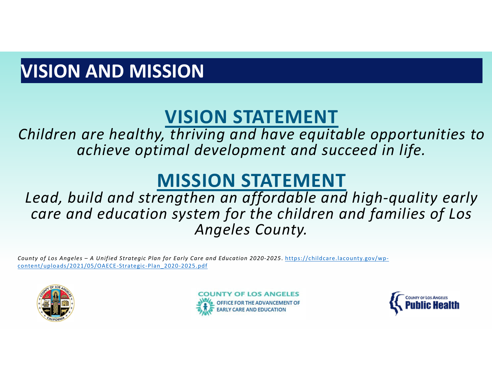## **VISION AND MISSION**

## **VISION STATEMENT**

*Children are healthy, thriving and have equitable opportunities to achieve optimal development and succeed in life.*

#### **MISSION STATEMENT**

*Lead, build and strengthen an affordable and high‐quality early care and education system for the children and families of Los Angeles County.*

County of Los Angeles - A Unified Strategic Plan for Early Care and Education 2020-2025. https://childcare.lacounty.gov/wpcontent/uploads/2021/05/OAECE‐Strategic‐Plan\_2020‐2025.pdf





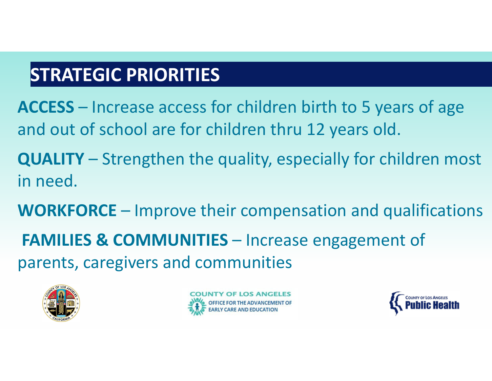## **STRATEGIC PRIORITIES**

**ACCESS** – Increase access for children birth to 5 years of age and out of school are for children thru 12 years old.

- **QUALITY** Strengthen the quality, especially for children most in need.
- **WORKFORCE** Improve their compensation and qualifications **FAMILIES & COMMUNITIES** – Increase engagement of parents, caregivers and communities





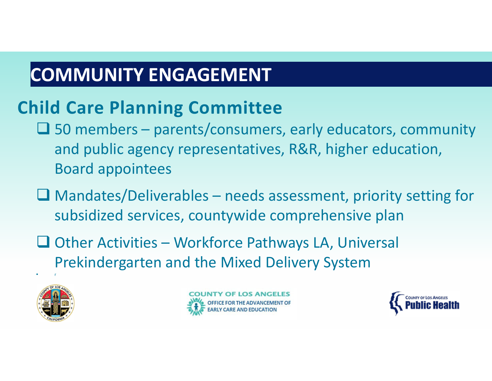#### **COMMUNITY ENGAGEMENT**

#### **Child Care Planning Committee**

- $\square$  50 members parents/consumers, early educators, community and public agency representatives, R&R, higher education, Board appointees
- $\Box$  Mandates/Deliverables needs assessment, priority setting for subsidized services, countywide comprehensive plan
- $\Box$  Other Activities Workforce Pathways LA, Universal Prekindergarten and the Mixed Delivery System



r and a strong strong part of the strong strong strong strong strong strong strong strong strong strong strong



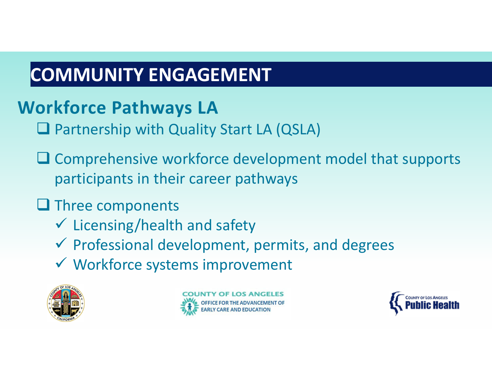## **COMMUNITY ENGAGEMENT**

#### **Workforce Pathways LA**

- □ Partnership with Quality Start LA (QSLA)
- $\square$  Comprehensive workforce development model that supports participants in their career pathways

#### **Q** Three components

- Licensing/health and safety
- $\checkmark$  Professional development, permits, and degrees
- Workforce systems improvement



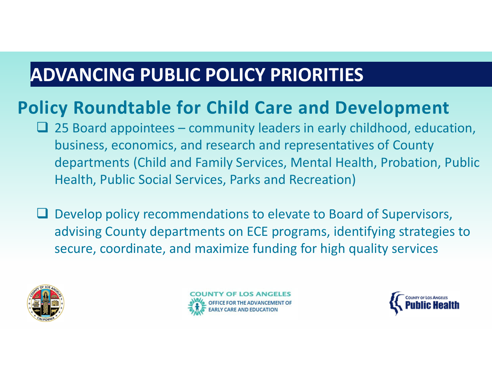#### **ADVANCING PUBLIC POLICY PRIORITIES**

#### **Policy Roundtable for Child Care and Development**

- $\Box$  25 Board appointees community leaders in early childhood, education, business, economics, and research and representatives of County departments (Child and Family Services, Mental Health, Probation, Public Health, Public Social Services, Parks and Recreation)
- **Q** Develop policy recommendations to elevate to Board of Supervisors, advising County departments on ECE programs, identifying strategies to secure, coordinate, and maximize funding for high quality services





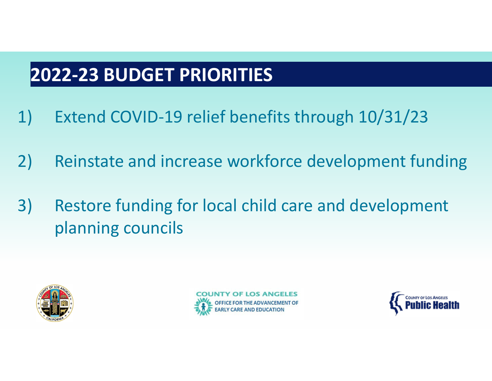#### **2022‐23 BUDGET PRIORITIES**

- 1) Extend COVID‐19 relief benefits through 10/31/23
- 2) Reinstate and increase workforce development funding
- 3) Restore funding for local child care and development planning councils





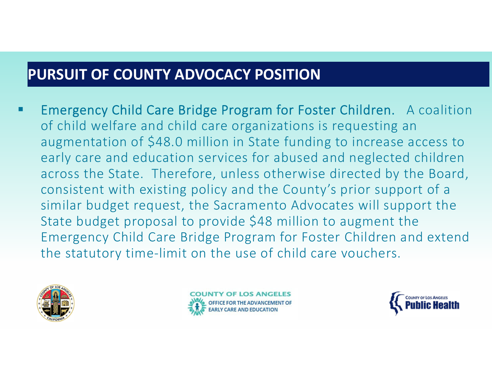#### **PURSUIT OF COUNTY ADVOCACY POSITION**

Ξ Emergency Child Care Bridge Program for Foster Children. A coalition of child welfare and child care organizations is requesting an augmentation of \$48.0 million in State funding to increase access to early care and education services for abused and neglected children across the State. Therefore, unless otherwise directed by the Board, consistent with existing policy and the County's prior support of <sup>a</sup> similar budget request, the Sacramento Advocates will support the State budget proposal to provide \$48 million to augment the Emergency Child Care Bridge Program for Foster Children and extend the statutory time‐limit on the use of child care vouchers.





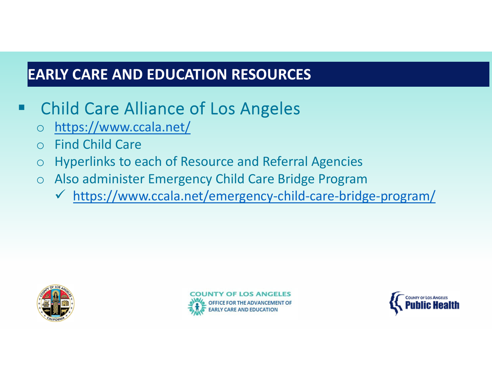#### **EARLY CARE AND EDUCATION RESOURCES**

#### Child Care Alliance of Los Angeles

- $\overline{O}$ https://www.ccala.net/
- $\Omega$ Find Child Care
- $\bigcirc$ Hyperlinks to each of Resource and Referral Agencies
- o Also administer Emergency Child Care Bridge Program
	- https://www.ccala.net/emergency‐child‐care‐bridge‐program/